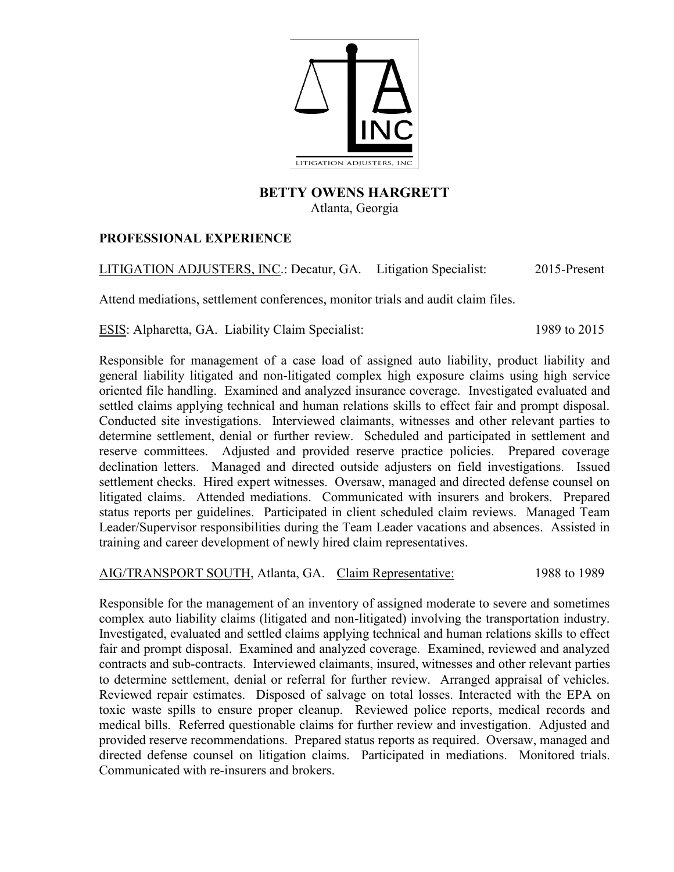

### **BETTY OWENS HARGRETT** Atlanta, Georgia

## **PROFESSIONAL EXPERIENCE**

LITIGATION ADJUSTERS, INC.: Decatur, GA. Litigation Specialist: 2015-Present

Attend mediations, settlement conferences, monitor trials and audit claim files.

ESIS: Alpharetta, GA. Liability Claim Specialist: 1989 to 2015

Responsible for management of a case load of assigned auto liability, product liability and general liability litigated and non-litigated complex high exposure claims using high service oriented file handling. Examined and analyzed insurance coverage. Investigated evaluated and settled claims applying technical and human relations skills to effect fair and prompt disposal. Conducted site investigations. Interviewed claimants, witnesses and other relevant parties to determine settlement, denial or further review. Scheduled and participated in settlement and reserve committees. Adjusted and provided reserve practice policies. Prepared coverage declination letters. Managed and directed outside adjusters on field investigations. Issued settlement checks. Hired expert witnesses. Oversaw, managed and directed defense counsel on litigated claims. Attended mediations. Communicated with insurers and brokers. Prepared status reports per guidelines. Participated in client scheduled claim reviews. Managed Team Leader/Supervisor responsibilities during the Team Leader vacations and absences. Assisted in training and career development of newly hired claim representatives.

AIG/TRANSPORT SOUTH, Atlanta, GA. Claim Representative: 1988 to 1989

Responsible for the management of an inventory of assigned moderate to severe and sometimes complex auto liability claims (litigated and non-litigated) involving the transportation industry. Investigated, evaluated and settled claims applying technical and human relations skills to effect fair and prompt disposal. Examined and analyzed coverage. Examined, reviewed and analyzed contracts and sub-contracts. Interviewed claimants, insured, witnesses and other relevant parties to determine settlement, denial or referral for further review. Arranged appraisal of vehicles. Reviewed repair estimates. Disposed of salvage on total losses. Interacted with the EPA on toxic waste spills to ensure proper cleanup. Reviewed police reports, medical records and medical bills. Referred questionable claims for further review and investigation. Adjusted and provided reserve recommendations. Prepared status reports as required. Oversaw, managed and directed defense counsel on litigation claims. Participated in mediations. Monitored trials. Communicated with re-insurers and brokers.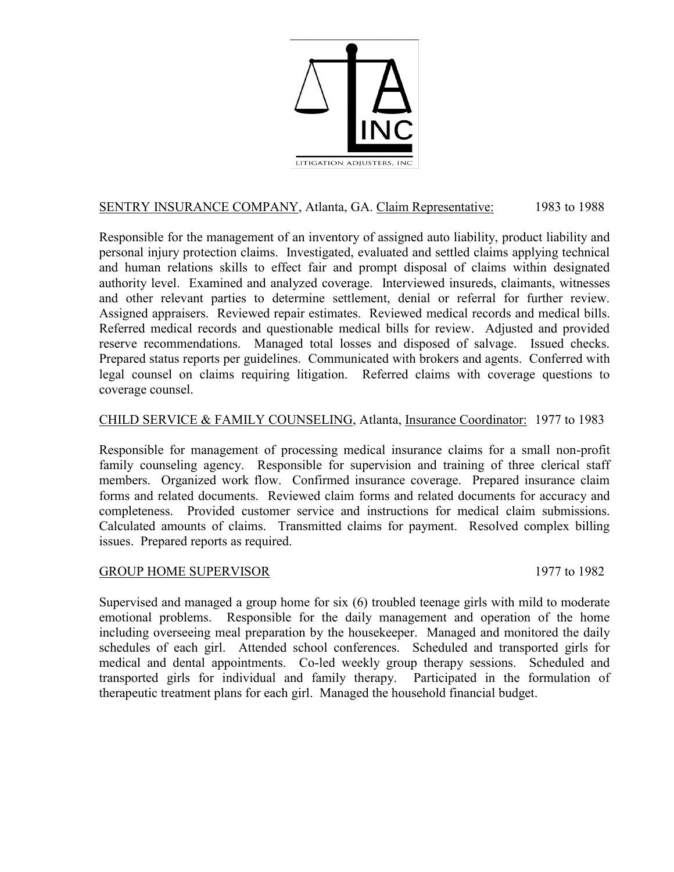

# SENTRY INSURANCE COMPANY, Atlanta, GA. Claim Representative: 1983 to 1988

Responsible for the management of an inventory of assigned auto liability, product liability and personal injury protection claims. Investigated, evaluated and settled claims applying technical and human relations skills to effect fair and prompt disposal of claims within designated authority level. Examined and analyzed coverage. Interviewed insureds, claimants, witnesses and other relevant parties to determine settlement, denial or referral for further review. Assigned appraisers. Reviewed repair estimates. Reviewed medical records and medical bills. Referred medical records and questionable medical bills for review. Adjusted and provided reserve recommendations. Managed total losses and disposed of salvage. Issued checks. Prepared status reports per guidelines. Communicated with brokers and agents. Conferred with legal counsel on claims requiring litigation. Referred claims with coverage questions to coverage counsel.

### CHILD SERVICE & FAMILY COUNSELING, Atlanta, Insurance Coordinator: 1977 to 1983

Responsible for management of processing medical insurance claims for a small non-profit family counseling agency. Responsible for supervision and training of three clerical staff members. Organized work flow. Confirmed insurance coverage. Prepared insurance claim forms and related documents. Reviewed claim forms and related documents for accuracy and completeness. Provided customer service and instructions for medical claim submissions. Calculated amounts of claims. Transmitted claims for payment. Resolved complex billing issues. Prepared reports as required.

#### GROUP HOME SUPERVISOR 1977 to 1982

Supervised and managed a group home for six (6) troubled teenage girls with mild to moderate emotional problems. Responsible for the daily management and operation of the home including overseeing meal preparation by the housekeeper. Managed and monitored the daily schedules of each girl. Attended school conferences. Scheduled and transported girls for medical and dental appointments. Co-led weekly group therapy sessions. Scheduled and transported girls for individual and family therapy. Participated in the formulation of therapeutic treatment plans for each girl. Managed the household financial budget.